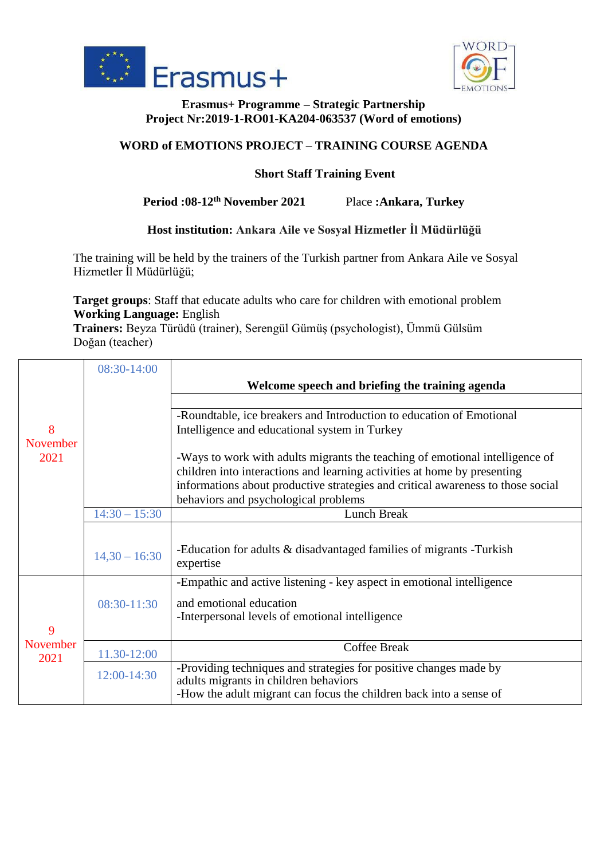



#### **Erasmus+ Programme – Strategic Partnership Project Nr:2019-1-RO01-KA204-063537 (Word of emotions)**

# **WORD of EMOTIONS PROJECT – TRAINING COURSE AGENDA**

## **Short Staff Training Event**

## **Period :08-12th November 2021** Place **:Ankara, Turkey**

#### **Host institution: Ankara Aile ve Sosyal Hizmetler İl Müdürlüğü**

The training will be held by the trainers of the Turkish partner from Ankara Aile ve Sosyal Hizmetler İl Müdürlüğü;

**Target groups**: Staff that educate adults who care for children with emotional problem **Working Language:** English

**Trainers:** Beyza Türüdü (trainer), Serengül Gümüş (psychologist), Ümmü Gülsüm Doğan (teacher)

|          | 08:30-14:00     |                                                                                                            |
|----------|-----------------|------------------------------------------------------------------------------------------------------------|
|          |                 | Welcome speech and briefing the training agenda                                                            |
|          |                 |                                                                                                            |
|          |                 | -Roundtable, ice breakers and Introduction to education of Emotional                                       |
| 8        |                 | Intelligence and educational system in Turkey                                                              |
| November |                 |                                                                                                            |
| 2021     |                 | -Ways to work with adults migrants the teaching of emotional intelligence of                               |
|          |                 | children into interactions and learning activities at home by presenting                                   |
|          |                 | informations about productive strategies and critical awareness to those social                            |
|          |                 | behaviors and psychological problems                                                                       |
|          | $14:30 - 15:30$ | <b>Lunch Break</b>                                                                                         |
|          |                 |                                                                                                            |
|          |                 | -Education for adults & disadvantaged families of migrants -Turkish                                        |
|          | $14,30 - 16:30$ | expertise                                                                                                  |
|          |                 | -Empathic and active listening - key aspect in emotional intelligence                                      |
|          | 08:30-11:30     | and emotional education                                                                                    |
|          |                 | -Interpersonal levels of emotional intelligence                                                            |
| 9        |                 |                                                                                                            |
| November |                 | <b>Coffee Break</b>                                                                                        |
| 2021     | 11.30-12:00     |                                                                                                            |
|          | 12:00-14:30     | -Providing techniques and strategies for positive changes made by<br>adults migrants in children behaviors |
|          |                 | -How the adult migrant can focus the children back into a sense of                                         |
|          |                 |                                                                                                            |